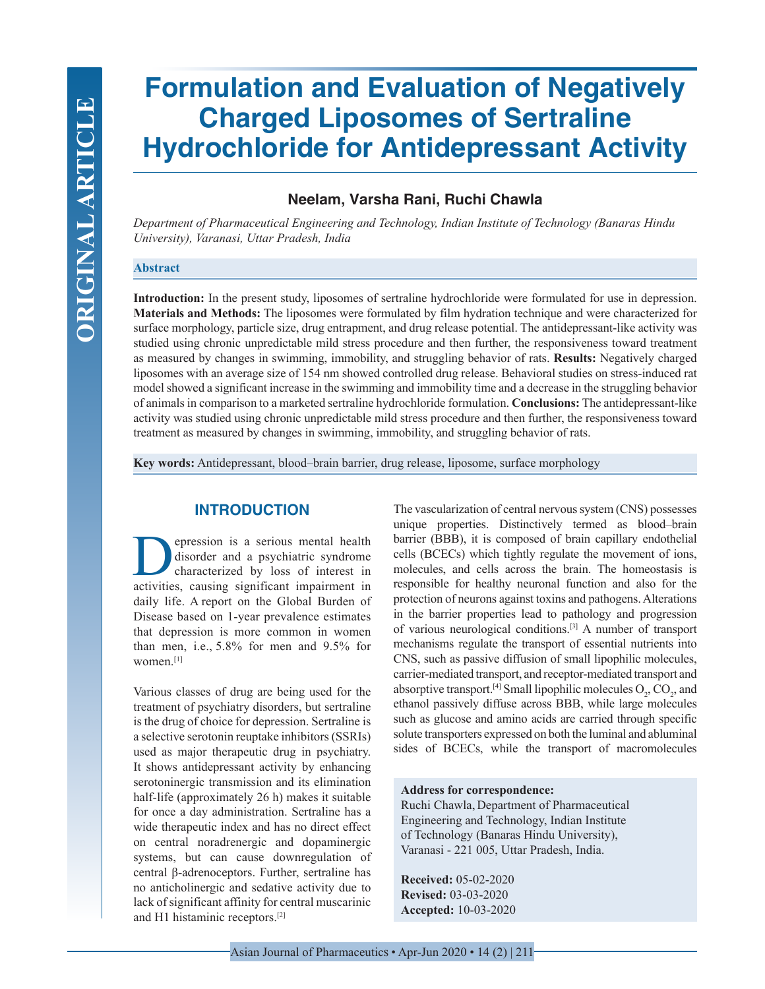# **Formulation and Evaluation of Negatively Charged Liposomes of Sertraline Hydrochloride for Antidepressant Activity**

# **Neelam, Varsha Rani, Ruchi Chawla**

*Department of Pharmaceutical Engineering and Technology, Indian Institute of Technology (Banaras Hindu University), Varanasi, Uttar Pradesh, India*

## **Abstract**

**Introduction:** In the present study, liposomes of sertraline hydrochloride were formulated for use in depression. **Materials and Methods:** The liposomes were formulated by film hydration technique and were characterized for surface morphology, particle size, drug entrapment, and drug release potential. The antidepressant-like activity was studied using chronic unpredictable mild stress procedure and then further, the responsiveness toward treatment as measured by changes in swimming, immobility, and struggling behavior of rats. **Results:** Negatively charged liposomes with an average size of 154 nm showed controlled drug release. Behavioral studies on stress-induced rat model showed a significant increase in the swimming and immobility time and a decrease in the struggling behavior of animals in comparison to a marketed sertraline hydrochloride formulation. **Conclusions:** The antidepressant-like activity was studied using chronic unpredictable mild stress procedure and then further, the responsiveness toward treatment as measured by changes in swimming, immobility, and struggling behavior of rats.

**Key words:** Antidepressant, blood–brain barrier, drug release, liposome, surface morphology

# **INTRODUCTION**

**Depression is a serious mental health**<br>disorder and a psychiatric syndrome<br>characterized by loss of interest in<br>activities causing significant impairment in disorder and a psychiatric syndrome characterized by loss of interest in activities, causing significant impairment in daily life. A report on the Global Burden of Disease based on 1-year prevalence estimates that depression is more common in women than men, i.e., 5.8% for men and 9.5% for women.[1]

Various classes of drug are being used for the treatment of psychiatry disorders, but sertraline is the drug of choice for depression. Sertraline is a selective serotonin reuptake inhibitors (SSRIs) used as major therapeutic drug in psychiatry. It shows antidepressant activity by enhancing serotoninergic transmission and its elimination half-life (approximately 26 h) makes it suitable for once a day administration. Sertraline has a wide therapeutic index and has no direct effect on central noradrenergic and dopaminergic systems, but can cause downregulation of central β-adrenoceptors. Further, sertraline has no anticholinergic and sedative activity due to lack of significant affinity for central muscarinic and H1 histaminic receptors.[2]

The vascularization of central nervous system (CNS) possesses unique properties. Distinctively termed as blood–brain barrier (BBB), it is composed of brain capillary endothelial cells (BCECs) which tightly regulate the movement of ions, molecules, and cells across the brain. The homeostasis is responsible for healthy neuronal function and also for the protection of neurons against toxins and pathogens. Alterations in the barrier properties lead to pathology and progression of various neurological conditions.[3] A number of transport mechanisms regulate the transport of essential nutrients into CNS, such as passive diffusion of small lipophilic molecules, carrier-mediated transport, and receptor-mediated transport and absorptive transport.<sup>[4]</sup> Small lipophilic molecules  $O_2$ ,  $CO_2$ , and ethanol passively diffuse across BBB, while large molecules such as glucose and amino acids are carried through specific solute transporters expressed on both the luminal and abluminal sides of BCECs, while the transport of macromolecules

#### **Address for correspondence:**

Ruchi Chawla, Department of Pharmaceutical Engineering and Technology, Indian Institute of Technology (Banaras Hindu University), Varanasi - 221 005, Uttar Pradesh, India.

**Received:** 05-02-2020 **Revised:** 03-03-2020 **Accepted:** 10-03-2020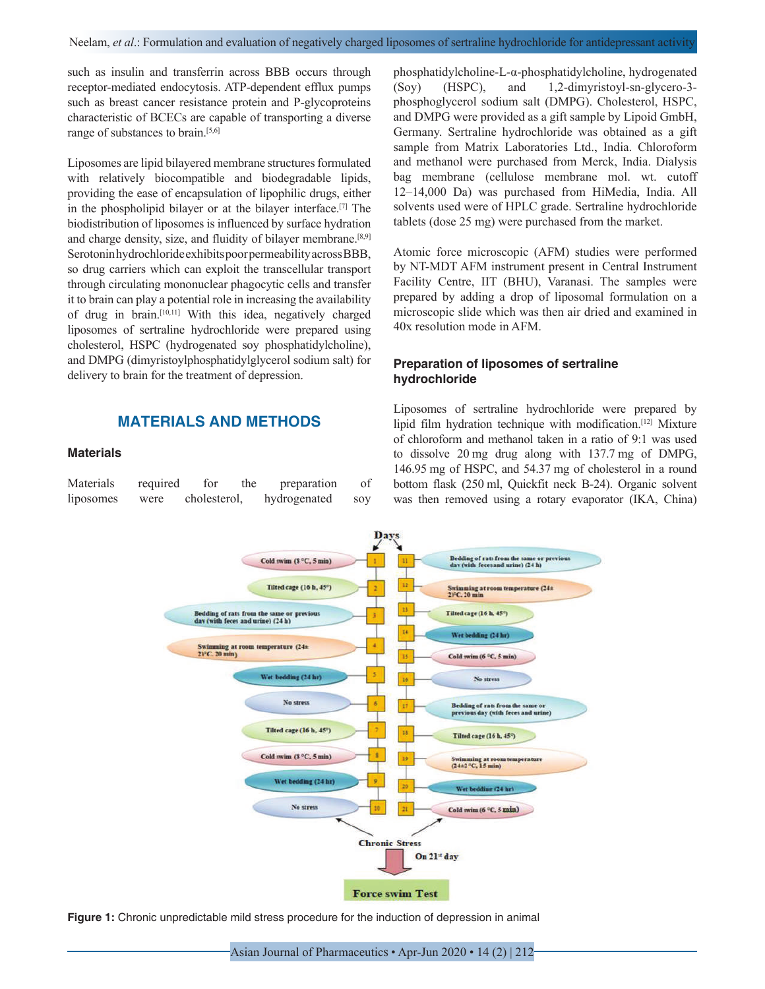Neelam, *et al*.: Formulation and evaluation of negatively charged liposomes of sertraline hydrochloride for antidepressant activity

such as insulin and transferrin across BBB occurs through receptor-mediated endocytosis. ATP-dependent efflux pumps such as breast cancer resistance protein and P-glycoproteins characteristic of BCECs are capable of transporting a diverse range of substances to brain.[5,6]

Liposomes are lipid bilayered membrane structures formulated with relatively biocompatible and biodegradable lipids, providing the ease of encapsulation of lipophilic drugs, either in the phospholipid bilayer or at the bilayer interface.[7] The biodistribution of liposomes is influenced by surface hydration and charge density, size, and fluidity of bilayer membrane.[8,9] Serotonin hydrochloride exhibits poor permeability across BBB, so drug carriers which can exploit the transcellular transport through circulating mononuclear phagocytic cells and transfer it to brain can play a potential role in increasing the availability of drug in brain.[10,11] With this idea, negatively charged liposomes of sertraline hydrochloride were prepared using cholesterol, HSPC (hydrogenated soy phosphatidylcholine), and DMPG (dimyristoylphosphatidylglycerol sodium salt) for delivery to brain for the treatment of depression.

## **MATERIALS AND METHODS**

#### **Materials**

Materials required for the preparation of liposomes were cholesterol, hydrogenated soy

phosphatidylcholine-L-α-phosphatidylcholine, hydrogenated (Soy) (HSPC), and 1,2-dimyristoyl-sn-glycero-3 phosphoglycerol sodium salt (DMPG). Cholesterol, HSPC, and DMPG were provided as a gift sample by Lipoid GmbH, Germany. Sertraline hydrochloride was obtained as a gift sample from Matrix Laboratories Ltd., India. Chloroform and methanol were purchased from Merck, India. Dialysis bag membrane (cellulose membrane mol. wt. cutoff 12–14,000 Da) was purchased from HiMedia, India. All solvents used were of HPLC grade. Sertraline hydrochloride tablets (dose 25 mg) were purchased from the market.

Atomic force microscopic (AFM) studies were performed by NT-MDT AFM instrument present in Central Instrument Facility Centre, IIT (BHU), Varanasi. The samples were prepared by adding a drop of liposomal formulation on a microscopic slide which was then air dried and examined in 40x resolution mode in AFM.

## **Preparation of liposomes of sertraline hydrochloride**

Liposomes of sertraline hydrochloride were prepared by lipid film hydration technique with modification.[12] Mixture of chloroform and methanol taken in a ratio of 9:1 was used to dissolve 20 mg drug along with 137.7 mg of DMPG, 146.95 mg of HSPC, and 54.37 mg of cholesterol in a round bottom flask (250 ml, Quickfit neck B-24). Organic solvent was then removed using a rotary evaporator (IKA, China)



**Figure 1:** Chronic unpredictable mild stress procedure for the induction of depression in animal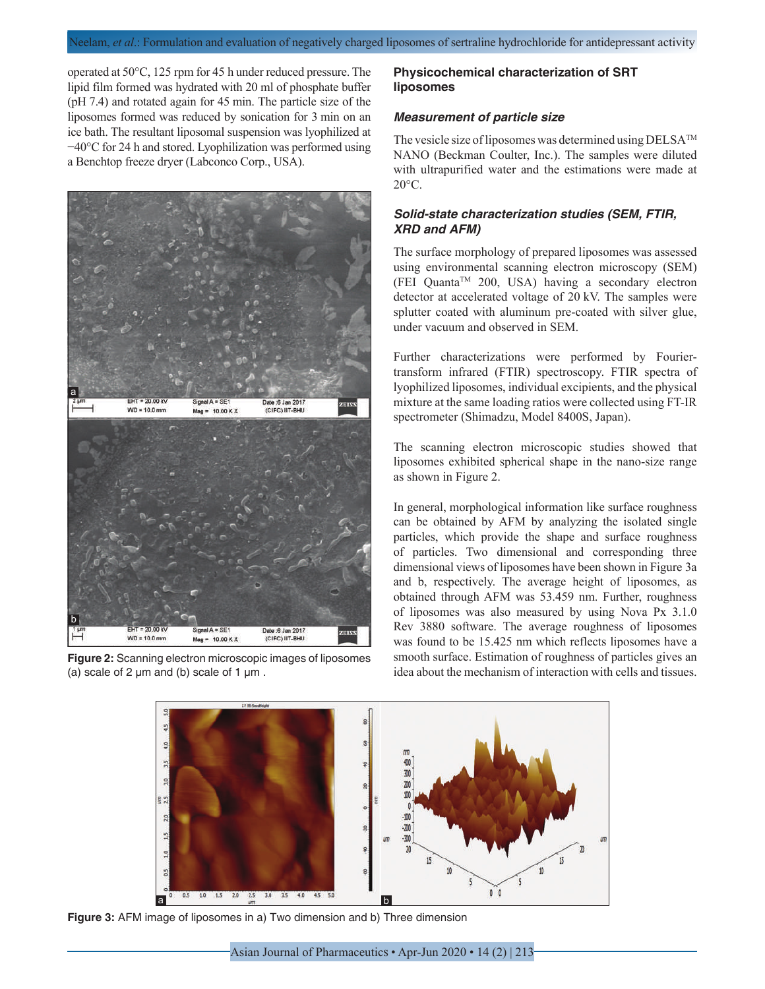operated at 50°C, 125 rpm for 45 h under reduced pressure. The lipid film formed was hydrated with 20 ml of phosphate buffer (pH 7.4) and rotated again for 45 min. The particle size of the liposomes formed was reduced by sonication for 3 min on an ice bath. The resultant liposomal suspension was lyophilized at −40°C for 24 h and stored. Lyophilization was performed using a Benchtop freeze dryer (Labconco Corp., USA).



**Figure 2:** Scanning electron microscopic images of liposomes (a) scale of 2  $\mu$ m and (b) scale of 1  $\mu$ m.

#### **Physicochemical characterization of SRT liposomes**

#### *Measurement of particle size*

The vesicle size of liposomes was determined using  $DELSA^{TM}$ NANO (Beckman Coulter, Inc.). The samples were diluted with ultrapurified water and the estimations were made at 20°C.

## *Solid-state characterization studies (SEM, FTIR, XRD and AFM)*

The surface morphology of prepared liposomes was assessed using environmental scanning electron microscopy (SEM) (FEI QuantaTM 200, USA) having a secondary electron detector at accelerated voltage of 20 kV. The samples were splutter coated with aluminum pre-coated with silver glue, under vacuum and observed in SEM.

Further characterizations were performed by Fouriertransform infrared (FTIR) spectroscopy. FTIR spectra of lyophilized liposomes, individual excipients, and the physical mixture at the same loading ratios were collected using FT-IR spectrometer (Shimadzu, Model 8400S, Japan).

The scanning electron microscopic studies showed that liposomes exhibited spherical shape in the nano-size range as shown in Figure 2.

In general, morphological information like surface roughness can be obtained by AFM by analyzing the isolated single particles, which provide the shape and surface roughness of particles. Two dimensional and corresponding three dimensional views of liposomes have been shown in Figure 3a and b, respectively. The average height of liposomes, as obtained through AFM was 53.459 nm. Further, roughness of liposomes was also measured by using Nova Px 3.1.0 Rev 3880 software. The average roughness of liposomes was found to be 15.425 nm which reflects liposomes have a smooth surface. Estimation of roughness of particles gives an idea about the mechanism of interaction with cells and tissues.



**Figure 3:** AFM image of liposomes in a) Two dimension and b) Three dimension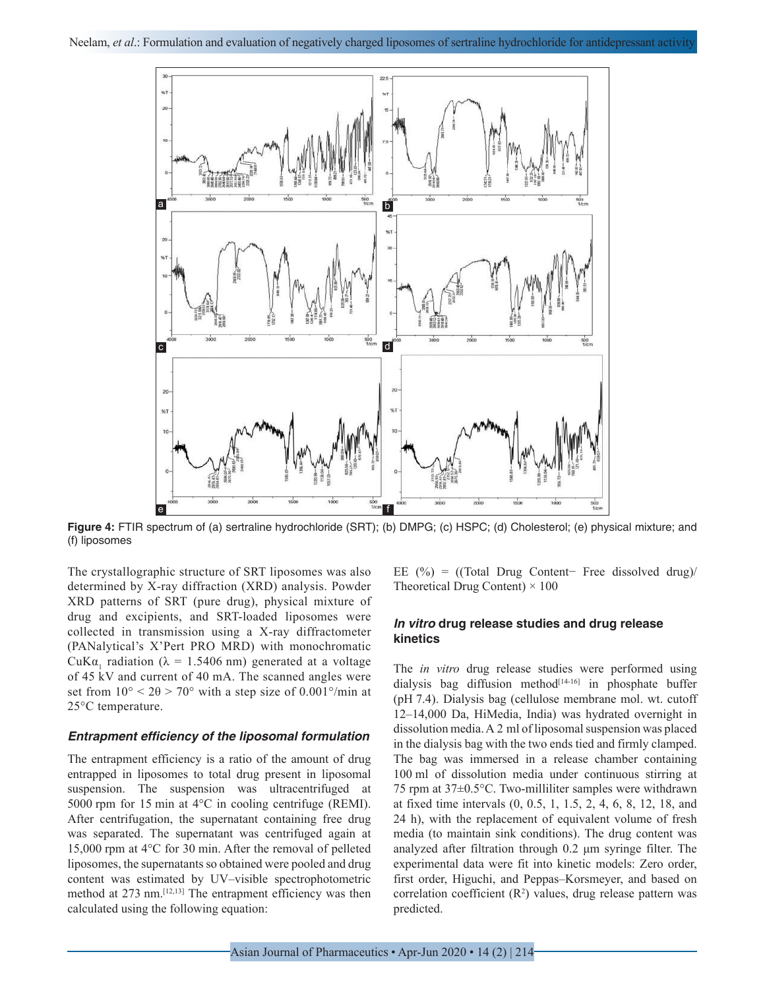

**Figure 4:** FTIR spectrum of (a) sertraline hydrochloride (SRT); (b) DMPG; (c) HSPC; (d) Cholesterol; (e) physical mixture; and (f) liposomes

The crystallographic structure of SRT liposomes was also determined by X-ray diffraction (XRD) analysis. Powder XRD patterns of SRT (pure drug), physical mixture of drug and excipients, and SRT-loaded liposomes were collected in transmission using a X-ray diffractometer (PANalytical's X'Pert PRO MRD) with monochromatic CuK $\alpha_1$  radiation ( $\lambda = 1.5406$  nm) generated at a voltage of 45 kV and current of 40 mA. The scanned angles were set from  $10^{\circ}$  <  $2\theta$  > 70° with a step size of 0.001°/min at 25°C temperature.

#### *Entrapment efficiency of the liposomal formulation*

The entrapment efficiency is a ratio of the amount of drug entrapped in liposomes to total drug present in liposomal suspension. The suspension was ultracentrifuged at 5000 rpm for 15 min at 4°C in cooling centrifuge (REMI). After centrifugation, the supernatant containing free drug was separated. The supernatant was centrifuged again at 15,000 rpm at 4°C for 30 min. After the removal of pelleted liposomes, the supernatants so obtained were pooled and drug content was estimated by UV–visible spectrophotometric method at 273 nm.[12,13] The entrapment efficiency was then calculated using the following equation:

EE (%) = ((Total Drug Content− Free dissolved drug)/ Theoretical Drug Content $) \times 100$ 

## *In vitro* **drug release studies and drug release kinetics**

The *in vitro* drug release studies were performed using dialysis bag diffusion method<sup>[14-16]</sup> in phosphate buffer (pH 7.4). Dialysis bag (cellulose membrane mol. wt. cutoff 12–14,000 Da, HiMedia, India) was hydrated overnight in dissolution media. A 2 ml of liposomal suspension was placed in the dialysis bag with the two ends tied and firmly clamped. The bag was immersed in a release chamber containing 100 ml of dissolution media under continuous stirring at 75 rpm at 37±0.5°C. Two-milliliter samples were withdrawn at fixed time intervals (0, 0.5, 1, 1.5, 2, 4, 6, 8, 12, 18, and 24 h), with the replacement of equivalent volume of fresh media (to maintain sink conditions). The drug content was analyzed after filtration through 0.2 μm syringe filter. The experimental data were fit into kinetic models: Zero order, first order, Higuchi, and Peppas–Korsmeyer, and based on correlation coefficient  $(R^2)$  values, drug release pattern was predicted.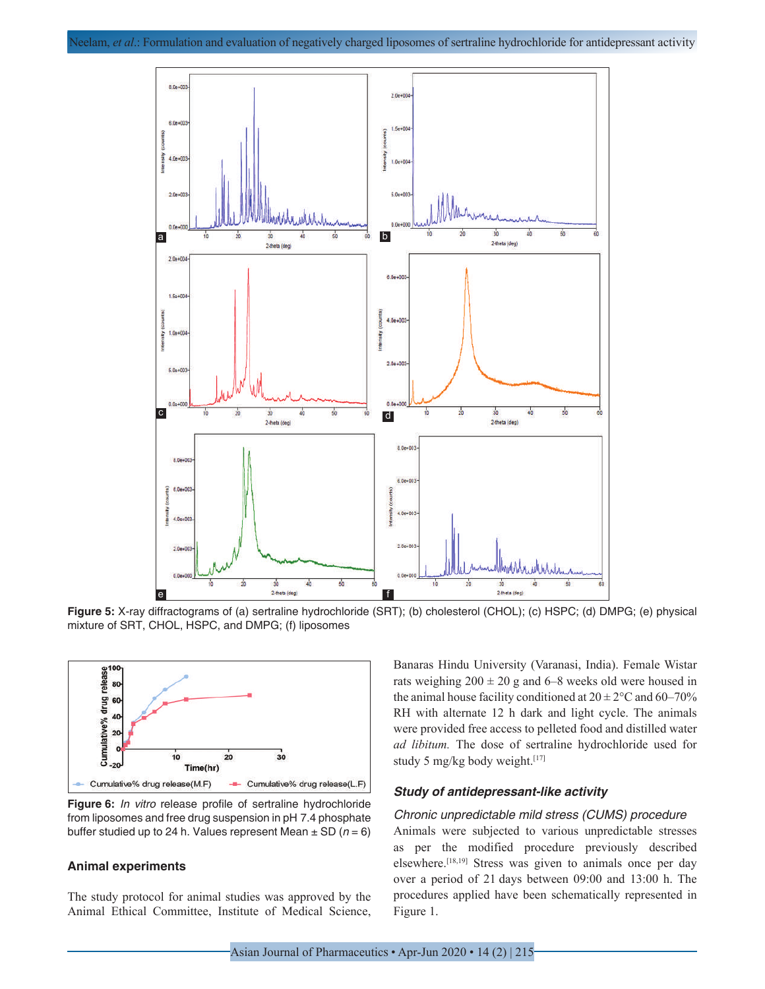

**Figure 5:** X-ray diffractograms of (a) sertraline hydrochloride (SRT); (b) cholesterol (CHOL); (c) HSPC; (d) DMPG; (e) physical mixture of SRT, CHOL, HSPC, and DMPG; (f) liposomes



**Figure 6:** *In vitro* release profile of sertraline hydrochloride from liposomes and free drug suspension in pH 7.4 phosphate buffer studied up to 24 h. Values represent Mean  $\pm$  SD ( $n = 6$ )

#### **Animal experiments**

The study protocol for animal studies was approved by the Animal Ethical Committee, Institute of Medical Science, Banaras Hindu University (Varanasi, India). Female Wistar rats weighing  $200 \pm 20$  g and 6–8 weeks old were housed in the animal house facility conditioned at  $20 \pm 2^{\circ}$ C and  $60 - 70\%$ RH with alternate 12 h dark and light cycle. The animals were provided free access to pelleted food and distilled water *ad libitum.* The dose of sertraline hydrochloride used for study 5 mg/kg body weight.[17]

## *Study of antidepressant-like activity*

## *Chronic unpredictable mild stress (CUMS) procedure* Animals were subjected to various unpredictable stresses as per the modified procedure previously described elsewhere.[18,19] Stress was given to animals once per day over a period of 21 days between 09:00 and 13:00 h. The procedures applied have been schematically represented in Figure 1.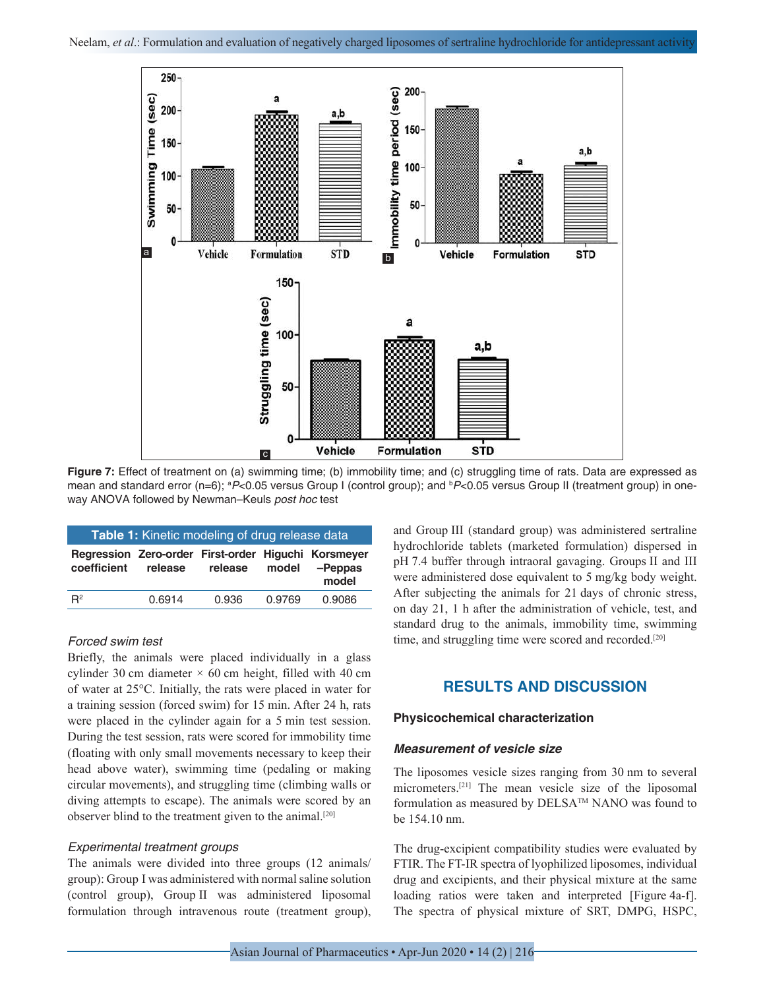

**Figure 7:** Effect of treatment on (a) swimming time; (b) immobility time; and (c) struggling time of rats. Data are expressed as mean and standard error (n=6); <sup>a</sup>P<0.05 versus Group I (control group); and <sup>b</sup>P<0.05 versus Group II (treatment group) in oneway ANOVA followed by Newman–Keuls *post hoc* test

| <b>Table 1:</b> Kinetic modeling of drug release data              |         |         |        |                        |
|--------------------------------------------------------------------|---------|---------|--------|------------------------|
| Regression Zero-order First-order Higuchi Korsmeyer<br>coefficient | release | release |        | model -Peppas<br>model |
| $R^2$                                                              | 0.6914  | 0.936   | 0.9769 | 0.9086                 |

#### *Forced swim test*

Briefly, the animals were placed individually in a glass cylinder 30 cm diameter  $\times$  60 cm height, filled with 40 cm of water at 25°C. Initially, the rats were placed in water for a training session (forced swim) for 15 min. After 24 h, rats were placed in the cylinder again for a 5 min test session. During the test session, rats were scored for immobility time (floating with only small movements necessary to keep their head above water), swimming time (pedaling or making circular movements), and struggling time (climbing walls or diving attempts to escape). The animals were scored by an observer blind to the treatment given to the animal.[20]

#### *Experimental treatment groups*

The animals were divided into three groups (12 animals/ group): Group I was administered with normal saline solution (control group), Group II was administered liposomal formulation through intravenous route (treatment group), and Group III (standard group) was administered sertraline hydrochloride tablets (marketed formulation) dispersed in pH 7.4 buffer through intraoral gavaging. Groups II and III were administered dose equivalent to 5 mg/kg body weight. After subjecting the animals for 21 days of chronic stress, on day 21, 1 h after the administration of vehicle, test, and standard drug to the animals, immobility time, swimming time, and struggling time were scored and recorded.<sup>[20]</sup>

## **RESULTS AND DISCUSSION**

#### **Physicochemical characterization**

#### *Measurement of vesicle size*

The liposomes vesicle sizes ranging from 30 nm to several micrometers.[21] The mean vesicle size of the liposomal formulation as measured by DELSATM NANO was found to be 154.10 nm.

The drug-excipient compatibility studies were evaluated by FTIR. The FT-IR spectra of lyophilized liposomes, individual drug and excipients, and their physical mixture at the same loading ratios were taken and interpreted [Figure 4a-f]. The spectra of physical mixture of SRT, DMPG, HSPC,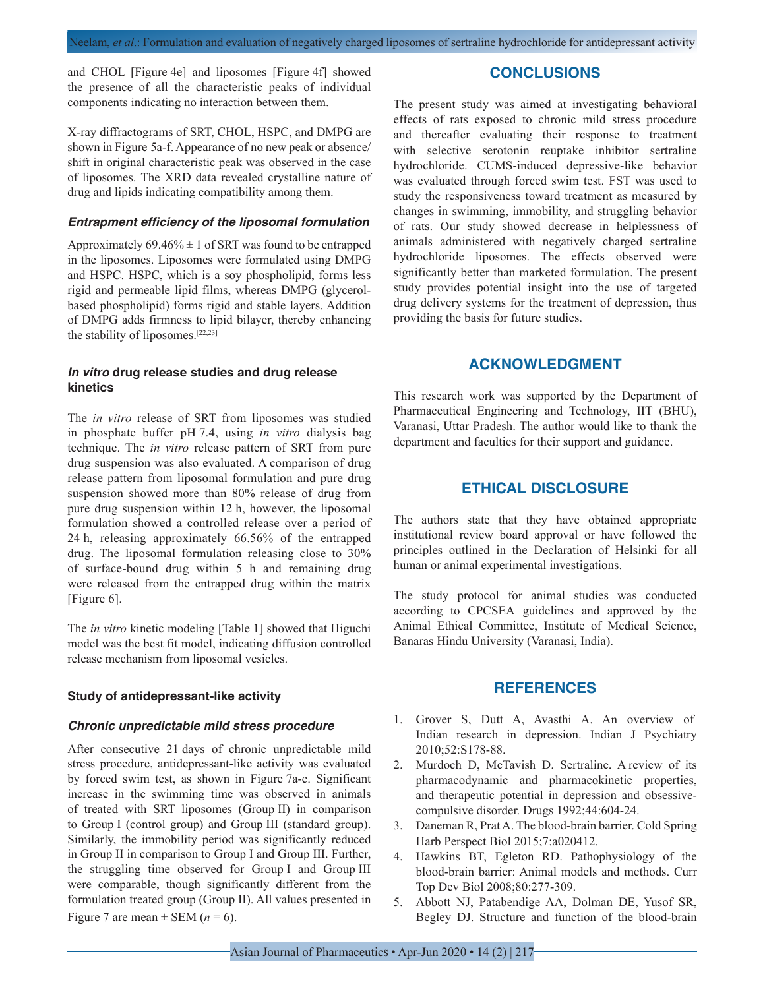and CHOL [Figure 4e] and liposomes [Figure 4f] showed the presence of all the characteristic peaks of individual components indicating no interaction between them.

## **CONCLUSIONS**

X-ray diffractograms of SRT, CHOL, HSPC, and DMPG are shown in Figure 5a-f. Appearance of no new peak or absence/ shift in original characteristic peak was observed in the case of liposomes. The XRD data revealed crystalline nature of drug and lipids indicating compatibility among them.

#### *Entrapment efficiency of the liposomal formulation*

Approximately  $69.46\% \pm 1$  of SRT was found to be entrapped in the liposomes. Liposomes were formulated using DMPG and HSPC. HSPC, which is a soy phospholipid, forms less rigid and permeable lipid films, whereas DMPG (glycerolbased phospholipid) forms rigid and stable layers. Addition of DMPG adds firmness to lipid bilayer, thereby enhancing the stability of liposomes.[22,23]

#### *In vitro* **drug release studies and drug release kinetics**

The *in vitro* release of SRT from liposomes was studied in phosphate buffer pH 7.4, using *in vitro* dialysis bag technique. The *in vitro* release pattern of SRT from pure drug suspension was also evaluated. A comparison of drug release pattern from liposomal formulation and pure drug suspension showed more than 80% release of drug from pure drug suspension within 12 h, however, the liposomal formulation showed a controlled release over a period of 24 h, releasing approximately 66.56% of the entrapped drug. The liposomal formulation releasing close to 30% of surface-bound drug within 5 h and remaining drug were released from the entrapped drug within the matrix [Figure 6].

The *in vitro* kinetic modeling [Table 1] showed that Higuchi model was the best fit model, indicating diffusion controlled release mechanism from liposomal vesicles.

#### **Study of antidepressant-like activity**

#### *Chronic unpredictable mild stress procedure*

After consecutive 21 days of chronic unpredictable mild stress procedure, antidepressant-like activity was evaluated by forced swim test, as shown in Figure 7a-c. Significant increase in the swimming time was observed in animals of treated with SRT liposomes (Group II) in comparison to Group I (control group) and Group III (standard group). Similarly, the immobility period was significantly reduced in Group II in comparison to Group I and Group III. Further, the struggling time observed for Group I and Group III were comparable, though significantly different from the formulation treated group (Group II). All values presented in Figure 7 are mean  $\pm$  SEM ( $n = 6$ ).

The present study was aimed at investigating behavioral effects of rats exposed to chronic mild stress procedure and thereafter evaluating their response to treatment with selective serotonin reuptake inhibitor sertraline hydrochloride. CUMS-induced depressive-like behavior was evaluated through forced swim test. FST was used to study the responsiveness toward treatment as measured by changes in swimming, immobility, and struggling behavior of rats. Our study showed decrease in helplessness of animals administered with negatively charged sertraline hydrochloride liposomes. The effects observed were significantly better than marketed formulation. The present study provides potential insight into the use of targeted drug delivery systems for the treatment of depression, thus providing the basis for future studies.

## **ACKNOWLEDGMENT**

This research work was supported by the Department of Pharmaceutical Engineering and Technology, IIT (BHU), Varanasi, Uttar Pradesh. The author would like to thank the department and faculties for their support and guidance.

## **ETHICAL DISCLOSURE**

The authors state that they have obtained appropriate institutional review board approval or have followed the principles outlined in the Declaration of Helsinki for all human or animal experimental investigations.

The study protocol for animal studies was conducted according to CPCSEA guidelines and approved by the Animal Ethical Committee, Institute of Medical Science, Banaras Hindu University (Varanasi, India).

## **REFERENCES**

- 1. Grover S, Dutt A, Avasthi A. An overview of Indian research in depression. Indian J Psychiatry 2010;52:S178-88.
- 2. Murdoch D, McTavish D. Sertraline. A review of its pharmacodynamic and pharmacokinetic properties, and therapeutic potential in depression and obsessivecompulsive disorder. Drugs 1992;44:604-24.
- 3. Daneman R, Prat A. The blood-brain barrier. Cold Spring Harb Perspect Biol 2015;7:a020412.
- 4. Hawkins BT, Egleton RD. Pathophysiology of the blood-brain barrier: Animal models and methods. Curr Top Dev Biol 2008;80:277-309.
- 5. Abbott NJ, Patabendige AA, Dolman DE, Yusof SR, Begley DJ. Structure and function of the blood-brain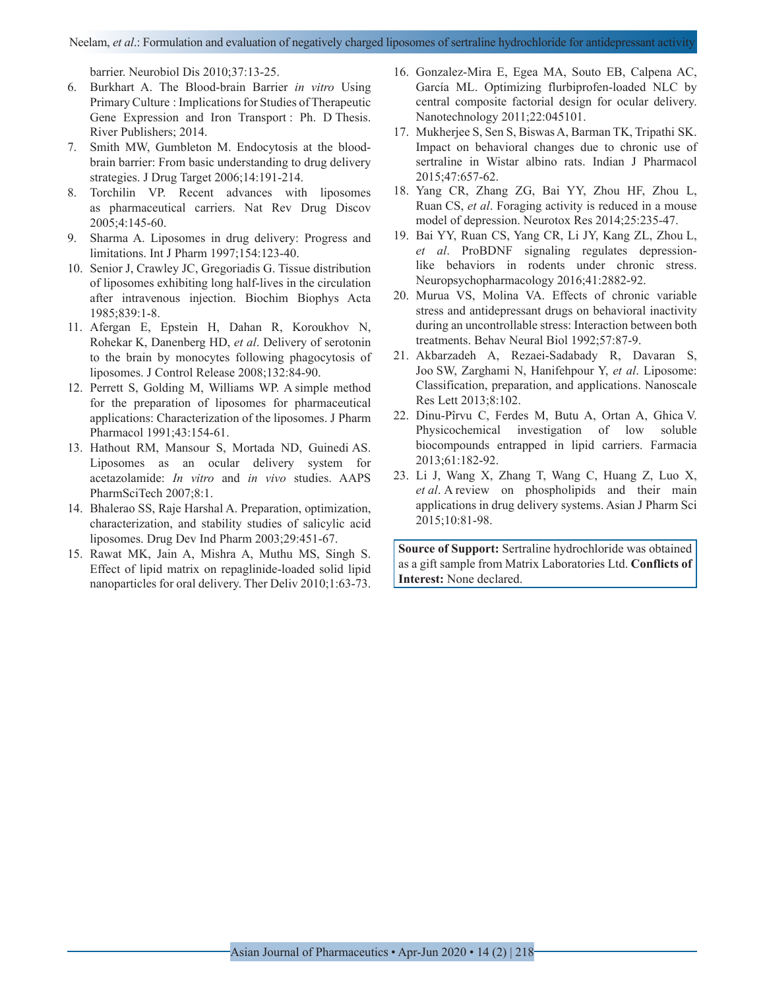#### Neelam, *et al*.: Formulation and evaluation of negatively charged liposomes of sertraline hydrochloride for antidepressant activity

barrier. Neurobiol Dis 2010;37:13-25.

- 6. Burkhart A. The Blood-brain Barrier *in vitro* Using Primary Culture : Implications for Studies of Therapeutic Gene Expression and Iron Transport : Ph. D Thesis. River Publishers; 2014.
- 7. Smith MW, Gumbleton M. Endocytosis at the bloodbrain barrier: From basic understanding to drug delivery strategies. J Drug Target 2006;14:191-214.
- 8. Torchilin VP. Recent advances with liposomes as pharmaceutical carriers. Nat Rev Drug Discov 2005;4:145-60.
- 9. Sharma A. Liposomes in drug delivery: Progress and limitations. Int J Pharm 1997;154:123-40.
- 10. Senior J, Crawley JC, Gregoriadis G. Tissue distribution of liposomes exhibiting long half-lives in the circulation after intravenous injection. Biochim Biophys Acta 1985;839:1-8.
- 11. Afergan E, Epstein H, Dahan R, Koroukhov N, Rohekar K, Danenberg HD, *et al*. Delivery of serotonin to the brain by monocytes following phagocytosis of liposomes. J Control Release 2008;132:84-90.
- 12. Perrett S, Golding M, Williams WP. A simple method for the preparation of liposomes for pharmaceutical applications: Characterization of the liposomes. J Pharm Pharmacol 1991;43:154-61.
- 13. Hathout RM, Mansour S, Mortada ND, Guinedi AS. Liposomes as an ocular delivery system for acetazolamide: *In vitro* and *in vivo* studies. AAPS PharmSciTech 2007;8:1.
- 14. Bhalerao SS, Raje Harshal A. Preparation, optimization, characterization, and stability studies of salicylic acid liposomes. Drug Dev Ind Pharm 2003;29:451-67.
- 15. Rawat MK, Jain A, Mishra A, Muthu MS, Singh S. Effect of lipid matrix on repaglinide-loaded solid lipid nanoparticles for oral delivery. Ther Deliv 2010;1:63-73.
- 16. Gonzalez-Mira E, Egea MA, Souto EB, Calpena AC, García ML. Optimizing flurbiprofen-loaded NLC by central composite factorial design for ocular delivery. Nanotechnology 2011;22:045101.
- 17. Mukherjee S, Sen S, Biswas A, Barman TK, Tripathi SK. Impact on behavioral changes due to chronic use of sertraline in Wistar albino rats. Indian J Pharmacol 2015;47:657-62.
- 18. Yang CR, Zhang ZG, Bai YY, Zhou HF, Zhou L, Ruan CS, *et al*. Foraging activity is reduced in a mouse model of depression. Neurotox Res 2014;25:235-47.
- 19. Bai YY, Ruan CS, Yang CR, Li JY, Kang ZL, Zhou L, *et al*. ProBDNF signaling regulates depressionlike behaviors in rodents under chronic stress. Neuropsychopharmacology 2016;41:2882-92.
- 20. Murua VS, Molina VA. Effects of chronic variable stress and antidepressant drugs on behavioral inactivity during an uncontrollable stress: Interaction between both treatments. Behav Neural Biol 1992;57:87-9.
- 21. Akbarzadeh A, Rezaei-Sadabady R, Davaran S, Joo SW, Zarghami N, Hanifehpour Y, *et al*. Liposome: Classification, preparation, and applications. Nanoscale Res Lett 2013;8:102.
- 22. Dinu-Pîrvu C, Ferdes M, Butu A, Ortan A, Ghica V. Physicochemical investigation of low soluble biocompounds entrapped in lipid carriers. Farmacia 2013;61:182-92.
- 23. Li J, Wang X, Zhang T, Wang C, Huang Z, Luo X, *et al*. A review on phospholipids and their main applications in drug delivery systems. Asian J Pharm Sci 2015;10:81-98.

**Source of Support:** Sertraline hydrochloride was obtained as a gift sample from Matrix Laboratories Ltd. **Conflicts of Interest:** None declared.